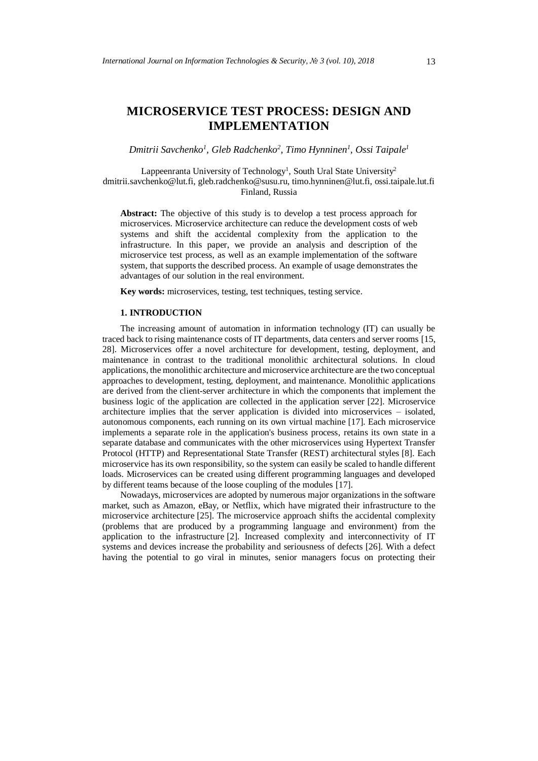# **MICROSERVICE TEST PROCESS: DESIGN AND IMPLEMENTATION**

*Dmitrii Savchenko<sup>1</sup> , Gleb Radchenko<sup>2</sup> , Timo Hynninen<sup>1</sup> , Ossi Taipale<sup>1</sup>*

Lappeenranta University of Technology<sup>1</sup>, South Ural State University<sup>2</sup> dmitrii.savchenko@lut.fi, gleb.radchenko@susu.ru, timo.hynninen@lut.fi, ossi.taipale.lut.fi Finland, Russia

**Abstract:** The objective of this study is to develop a test process approach for microservices. Microservice architecture can reduce the development costs of web systems and shift the accidental complexity from the application to the infrastructure. In this paper, we provide an analysis and description of the microservice test process, as well as an example implementation of the software system, that supports the described process. An example of usage demonstrates the advantages of our solution in the real environment.

**Key words:** microservices, testing, test techniques, testing service.

## **1. INTRODUCTION**

The increasing amount of automation in information technology (IT) can usually be traced back to rising maintenance costs of IT departments, data centers and server rooms [15, 28]. Microservices offer a novel architecture for development, testing, deployment, and maintenance in contrast to the traditional monolithic architectural solutions. In cloud applications, the monolithic architecture and microservice architecture are the two conceptual approaches to development, testing, deployment, and maintenance. Monolithic applications are derived from the client-server architecture in which the components that implement the business logic of the application are collected in the application server [22]. Microservice architecture implies that the server application is divided into microservices – isolated, autonomous components, each running on its own virtual machine [17]. Each microservice implements a separate role in the application's business process, retains its own state in a separate database and communicates with the other microservices using Hypertext Transfer Protocol (HTTP) and Representational State Transfer (REST) architectural styles [8]. Each microservice has its own responsibility, so the system can easily be scaled to handle different loads. Microservices can be created using different programming languages and developed by different teams because of the loose coupling of the modules [17].

Nowadays, microservices are adopted by numerous major organizations in the software market, such as Amazon, eBay, or Netflix, which have migrated their infrastructure to the microservice architecture [25]. The microservice approach shifts the accidental complexity (problems that are produced by a programming language and environment) from the application to the infrastructure [2]. Increased complexity and interconnectivity of IT systems and devices increase the probability and seriousness of defects [26]. With a defect having the potential to go viral in minutes, senior managers focus on protecting their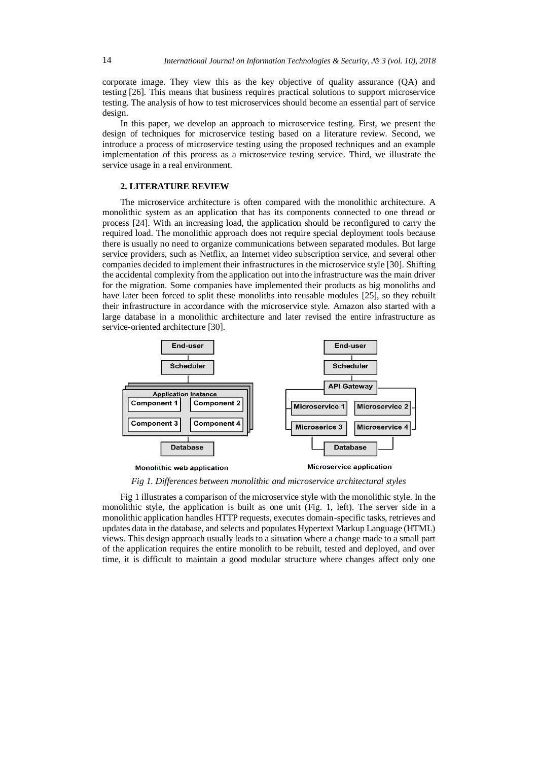corporate image. They view this as the key objective of quality assurance (QA) and testing [26]. This means that business requires practical solutions to support microservice testing. The analysis of how to test microservices should become an essential part of service design.

In this paper, we develop an approach to microservice testing. First, we present the design of techniques for microservice testing based on a literature review. Second, we introduce a process of microservice testing using the proposed techniques and an example implementation of this process as a microservice testing service. Third, we illustrate the service usage in a real environment.

## **2. LITERATURE REVIEW**

The microservice architecture is often compared with the monolithic architecture. A monolithic system as an application that has its components connected to one thread or process [24]. With an increasing load, the application should be reconfigured to carry the required load. The monolithic approach does not require special deployment tools because there is usually no need to organize communications between separated modules. But large service providers, such as Netflix, an Internet video subscription service, and several other companies decided to implement their infrastructures in the microservice style [30]. Shifting the accidental complexity from the application out into the infrastructure was the main driver for the migration. Some companies have implemented their products as big monoliths and have later been forced to split these monoliths into reusable modules [25], so they rebuilt their infrastructure in accordance with the microservice style. Amazon also started with a large database in a monolithic architecture and later revised the entire infrastructure as service-oriented architecture [30].



*Fig 1. Differences between monolithic and microservice architectural styles*

Fig 1 illustrates a comparison of the microservice style with the monolithic style. In the monolithic style, the application is built as one unit (Fig. 1, left). The server side in a monolithic application handles HTTP requests, executes domain-specific tasks, retrieves and updates data in the database, and selects and populates Hypertext Markup Language (HTML) views. This design approach usually leads to a situation where a change made to a small part of the application requires the entire monolith to be rebuilt, tested and deployed, and over time, it is difficult to maintain a good modular structure where changes affect only one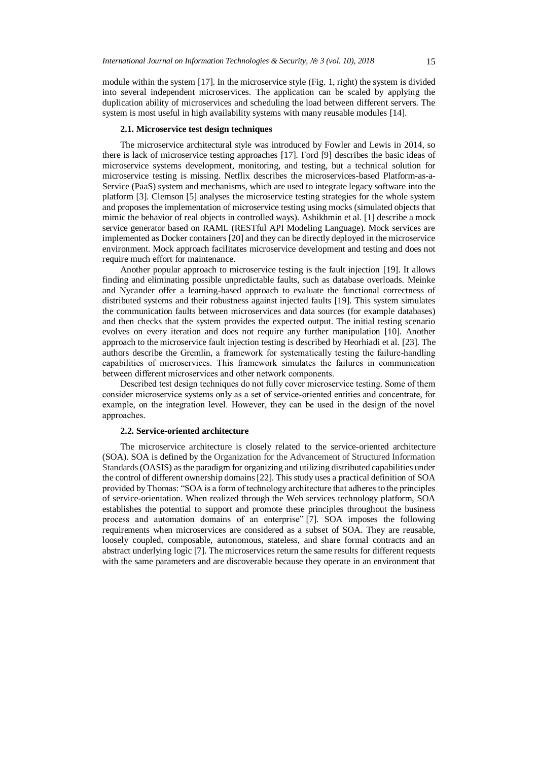module within the system [17]. In the microservice style (Fig. 1, right) the system is divided into several independent microservices. The application can be scaled by applying the duplication ability of microservices and scheduling the load between different servers. The system is most useful in high availability systems with many reusable modules [14].

#### **2.1. Microservice test design techniques**

The microservice architectural style was introduced by Fowler and Lewis in 2014, so there is lack of microservice testing approaches [17]. Ford [9] describes the basic ideas of microservice systems development, monitoring, and testing, but a technical solution for microservice testing is missing. Netflix describes the microservices-based Platform-as-a-Service (PaaS) system and mechanisms, which are used to integrate legacy software into the platform [3]. Clemson [5] analyses the microservice testing strategies for the whole system and proposes the implementation of microservice testing using mocks (simulated objects that mimic the behavior of real objects in controlled ways). Ashikhmin et al. [1] describe a mock service generator based on RAML (RESTful API Modeling Language). Mock services are implemented as Docker containers [20] and they can be directly deployed in the microservice environment. Mock approach facilitates microservice development and testing and does not require much effort for maintenance.

Another popular approach to microservice testing is the fault injection [19]. It allows finding and eliminating possible unpredictable faults, such as database overloads. Meinke and Nycander offer a learning-based approach to evaluate the functional correctness of distributed systems and their robustness against injected faults [19]. This system simulates the communication faults between microservices and data sources (for example databases) and then checks that the system provides the expected output. The initial testing scenario evolves on every iteration and does not require any further manipulation [10]. Another approach to the microservice fault injection testing is described by Heorhiadi et al. [23]. The authors describe the Gremlin, a framework for systematically testing the failure-handling capabilities of microservices. This framework simulates the failures in communication between different microservices and other network components.

Described test design techniques do not fully cover microservice testing. Some of them consider microservice systems only as a set of service-oriented entities and concentrate, for example, on the integration level. However, they can be used in the design of the novel approaches.

### **2.2. Service-oriented architecture**

The microservice architecture is closely related to the service-oriented architecture (SOA). SOA is defined by the Organization for the Advancement of Structured Information Standards(OASIS) as the paradigm for organizing and utilizing distributed capabilities under the control of different ownership domains [22]. This study uses a practical definition of SOA provided by Thomas: "SOA is a form of technology architecture that adheres to the principles of service-orientation. When realized through the Web services technology platform, SOA establishes the potential to support and promote these principles throughout the business process and automation domains of an enterprise" [7]. SOA imposes the following requirements when microservices are considered as a subset of SOA. They are reusable, loosely coupled, composable, autonomous, stateless, and share formal contracts and an abstract underlying logic [7]. The microservices return the same results for different requests with the same parameters and are discoverable because they operate in an environment that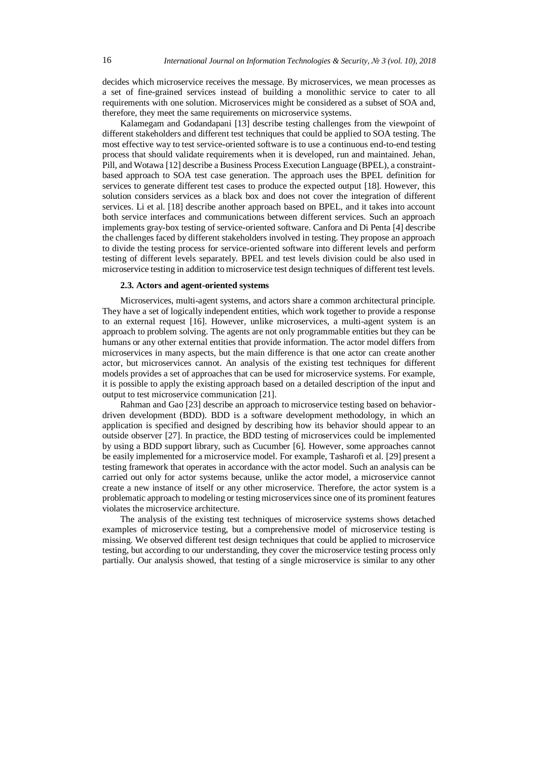decides which microservice receives the message. By microservices, we mean processes as a set of fine-grained services instead of building a monolithic service to cater to all requirements with one solution. Microservices might be considered as a subset of SOA and, therefore, they meet the same requirements on microservice systems.

Kalamegam and Godandapani [13] describe testing challenges from the viewpoint of different stakeholders and different test techniques that could be applied to SOA testing. The most effective way to test service-oriented software is to use a continuous end-to-end testing process that should validate requirements when it is developed, run and maintained. Jehan, Pill, and Wotawa [12] describe a Business Process Execution Language (BPEL), a constraintbased approach to SOA test case generation. The approach uses the BPEL definition for services to generate different test cases to produce the expected output [18]. However, this solution considers services as a black box and does not cover the integration of different services. Li et al. [18] describe another approach based on BPEL, and it takes into account both service interfaces and communications between different services. Such an approach implements gray-box testing of service-oriented software. Canfora and Di Penta [4] describe the challenges faced by different stakeholders involved in testing. They propose an approach to divide the testing process for service-oriented software into different levels and perform testing of different levels separately. BPEL and test levels division could be also used in microservice testing in addition to microservice test design techniques of different test levels.

#### **2.3. Actors and agent-oriented systems**

Microservices, multi-agent systems, and actors share a common architectural principle. They have a set of logically independent entities, which work together to provide a response to an external request [16]. However, unlike microservices, a multi-agent system is an approach to problem solving. The agents are not only programmable entities but they can be humans or any other external entities that provide information. The actor model differs from microservices in many aspects, but the main difference is that one actor can create another actor, but microservices cannot. An analysis of the existing test techniques for different models provides a set of approaches that can be used for microservice systems. For example, it is possible to apply the existing approach based on a detailed description of the input and output to test microservice communication [21].

Rahman and Gao [23] describe an approach to microservice testing based on behaviordriven development (BDD). BDD is a software development methodology, in which an application is specified and designed by describing how its behavior should appear to an outside observer [27]. In practice, the BDD testing of microservices could be implemented by using a BDD support library, such as Cucumber [6]. However, some approaches cannot be easily implemented for a microservice model. For example, Tasharofi et al. [29] present a testing framework that operates in accordance with the actor model. Such an analysis can be carried out only for actor systems because, unlike the actor model, a microservice cannot create a new instance of itself or any other microservice. Therefore, the actor system is a problematic approach to modeling or testing microservices since one of its prominent features violates the microservice architecture.

The analysis of the existing test techniques of microservice systems shows detached examples of microservice testing, but a comprehensive model of microservice testing is missing. We observed different test design techniques that could be applied to microservice testing, but according to our understanding, they cover the microservice testing process only partially. Our analysis showed, that testing of a single microservice is similar to any other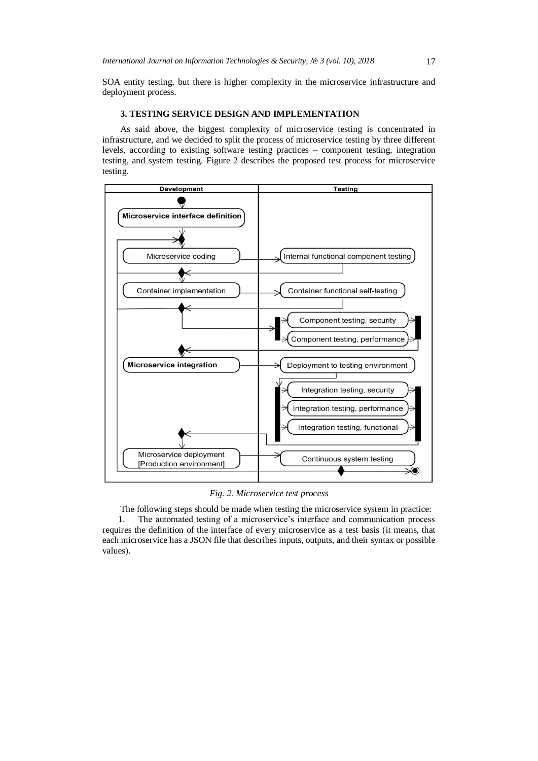SOA entity testing, but there is higher complexity in the microservice infrastructure and deployment process.

## **3. TESTING SERVICE DESIGN AND IMPLEMENTATION**

As said above, the biggest complexity of microservice testing is concentrated in infrastructure, and we decided to split the process of microservice testing by three different levels, according to existing software testing practices – component testing, integration testing, and system testing. Figure 2 describes the proposed test process for microservice testing.



*Fig. 2. Microservice test process*

The following steps should be made when testing the microservice system in practice: 1. The automated testing of a microservice's interface and communication process requires the definition of the interface of every microservice as a test basis (it means, that each microservice has a JSON file that describes inputs, outputs, and their syntax or possible values).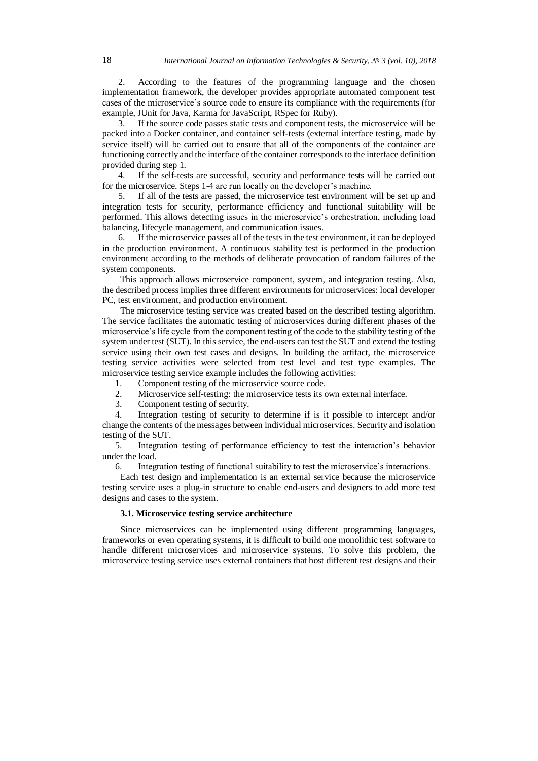2. According to the features of the programming language and the chosen implementation framework, the developer provides appropriate automated component test cases of the microservice's source code to ensure its compliance with the requirements (for example, JUnit for Java, Karma for JavaScript, RSpec for Ruby).

3. If the source code passes static tests and component tests, the microservice will be packed into a Docker container, and container self-tests (external interface testing, made by service itself) will be carried out to ensure that all of the components of the container are functioning correctly and the interface of the container corresponds to the interface definition provided during step 1.

4. If the self-tests are successful, security and performance tests will be carried out for the microservice. Steps 1-4 are run locally on the developer's machine.

5. If all of the tests are passed, the microservice test environment will be set up and integration tests for security, performance efficiency and functional suitability will be performed. This allows detecting issues in the microservice's orchestration, including load balancing, lifecycle management, and communication issues.

6. If the microservice passes all of the tests in the test environment, it can be deployed in the production environment. A continuous stability test is performed in the production environment according to the methods of deliberate provocation of random failures of the system components.

This approach allows microservice component, system, and integration testing. Also, the described process implies three different environments for microservices: local developer PC, test environment, and production environment.

The microservice testing service was created based on the described testing algorithm. The service facilitates the automatic testing of microservices during different phases of the microservice's life cycle from the component testing of the code to the stability testing of the system under test (SUT). In this service, the end-users can test the SUT and extend the testing service using their own test cases and designs. In building the artifact, the microservice testing service activities were selected from test level and test type examples. The microservice testing service example includes the following activities:

1. Component testing of the microservice source code.

- 2. Microservice self-testing: the microservice tests its own external interface.
- 3. Component testing of security.

4. Integration testing of security to determine if is it possible to intercept and/or change the contents of the messages between individual microservices. Security and isolation testing of the SUT.

5. Integration testing of performance efficiency to test the interaction's behavior under the load.

6. Integration testing of functional suitability to test the microservice's interactions.

Each test design and implementation is an external service because the microservice testing service uses a plug-in structure to enable end-users and designers to add more test designs and cases to the system.

#### **3.1. Microservice testing service architecture**

Since microservices can be implemented using different programming languages, frameworks or even operating systems, it is difficult to build one monolithic test software to handle different microservices and microservice systems. To solve this problem, the microservice testing service uses external containers that host different test designs and their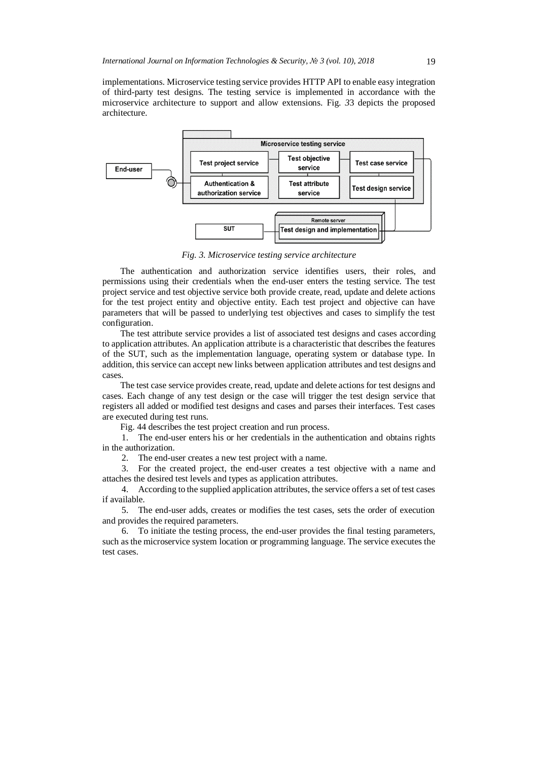implementations. Microservice testing service provides HTTP API to enable easy integration of third-party test designs. The testing service is implemented in accordance with the microservice architecture to support and allow extensions. [Fig.](#page-6-0) *3*3 depicts the proposed architecture.



*Fig. 3. Microservice testing service architecture*

<span id="page-6-0"></span>The authentication and authorization service identifies users, their roles, and permissions using their credentials when the end-user enters the testing service. The test project service and test objective service both provide create, read, update and delete actions for the test project entity and objective entity. Each test project and objective can have parameters that will be passed to underlying test objectives and cases to simplify the test configuration.

The test attribute service provides a list of associated test designs and cases according to application attributes. An application attribute is a characteristic that describes the features of the SUT, such as the implementation language, operating system or database type. In addition, this service can accept new links between application attributes and test designs and cases.

The test case service provides create, read, update and delete actions for test designs and cases. Each change of any test design or the case will trigger the test design service that registers all added or modified test designs and cases and parses their interfaces. Test cases are executed during test runs.

[Fig. 44](#page-7-0) describes the test project creation and run process.

1. The end-user enters his or her credentials in the authentication and obtains rights in the authorization.

2. The end-user creates a new test project with a name.

3. For the created project, the end-user creates a test objective with a name and attaches the desired test levels and types as application attributes.

4. According to the supplied application attributes, the service offers a set of test cases if available.

5. The end-user adds, creates or modifies the test cases, sets the order of execution and provides the required parameters.

6. To initiate the testing process, the end-user provides the final testing parameters, such as the microservice system location or programming language. The service executes the test cases.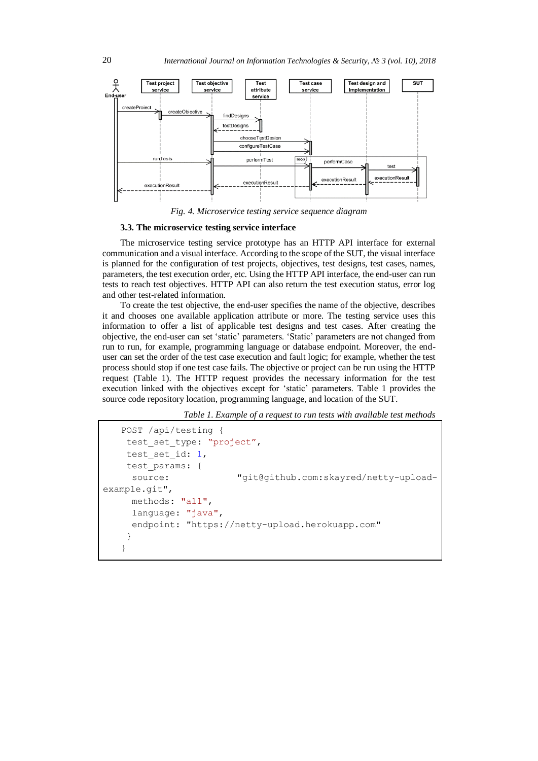

*Fig. 4. Microservice testing service sequence diagram*

#### <span id="page-7-0"></span>**3.3. The microservice testing service interface**

The microservice testing service prototype has an HTTP API interface for external communication and a visual interface. According to the scope of the SUT, the visual interface is planned for the configuration of test projects, objectives, test designs, test cases, names, parameters, the test execution order, etc. Using the HTTP API interface, the end-user can run tests to reach test objectives. HTTP API can also return the test execution status, error log and other test-related information.

To create the test objective, the end-user specifies the name of the objective, describes it and chooses one available application attribute or more. The testing service uses this information to offer a list of applicable test designs and test cases. After creating the objective, the end-user can set 'static' parameters. 'Static' parameters are not changed from run to run, for example, programming language or database endpoint. Moreover, the enduser can set the order of the test case execution and fault logic; for example, whether the test process should stop if one test case fails. The objective or project can be run using the HTTP request [\(Table 1\)](#page-7-1). The HTTP request provides the necessary information for the test execution linked with the objectives except for 'static' parameters. [Table 1](#page-7-1) provides the source code repository location, programming language, and location of the SUT.

*Table 1. Example of a request to run tests with available test methods*

```
POST /api/testing {
    test set type: "project",
    test set id: 1,
    test_params: {
      source: "git@github.com:skayred/netty-upload-
example.git", 
      methods: "all",
      language: "java",
      endpoint: "https://netty-upload.herokuapp.com"
    }
   }
```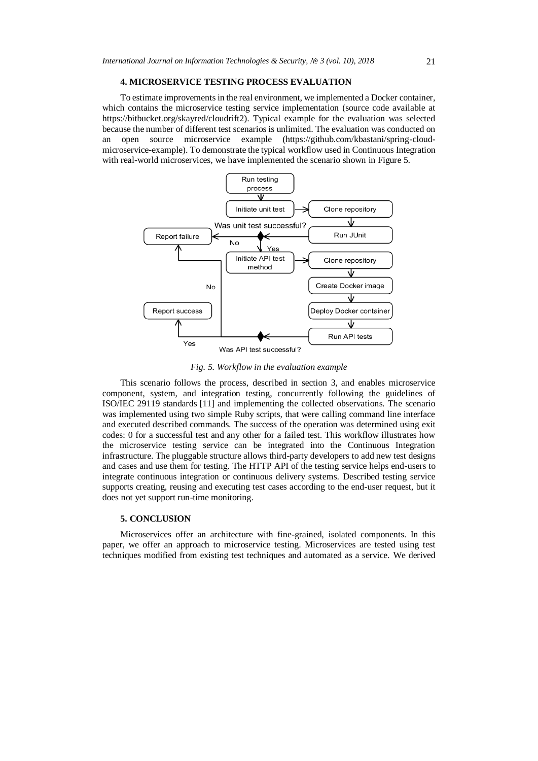#### **4. MICROSERVICE TESTING PROCESS EVALUATION**

To estimate improvements in the real environment, we implemented a Docker container, which contains the microservice testing service implementation (source code available at https://bitbucket.org/skayred/cloudrift2). Typical example for the evaluation was selected because the number of different test scenarios is unlimited. The evaluation was conducted on an open source microservice example (https://github.com/kbastani/spring-cloudmicroservice-example). To demonstrate the typical workflow used in Continuous Integration with real-world microservices, we have implemented the scenario shown in Figure 5.



*Fig. 5. Workflow in the evaluation example*

This scenario follows the process, described in section 3, and enables microservice component, system, and integration testing, concurrently following the guidelines of ISO/IEC 29119 standards [11] and implementing the collected observations. The scenario was implemented using two simple Ruby scripts, that were calling command line interface and executed described commands. The success of the operation was determined using exit codes: 0 for a successful test and any other for a failed test. This workflow illustrates how the microservice testing service can be integrated into the Continuous Integration infrastructure. The pluggable structure allows third-party developers to add new test designs and cases and use them for testing. The HTTP API of the testing service helps end-users to integrate continuous integration or continuous delivery systems. Described testing service supports creating, reusing and executing test cases according to the end-user request, but it does not yet support run-time monitoring.

## **5. CONCLUSION**

Microservices offer an architecture with fine-grained, isolated components. In this paper, we offer an approach to microservice testing. Microservices are tested using test techniques modified from existing test techniques and automated as a service. We derived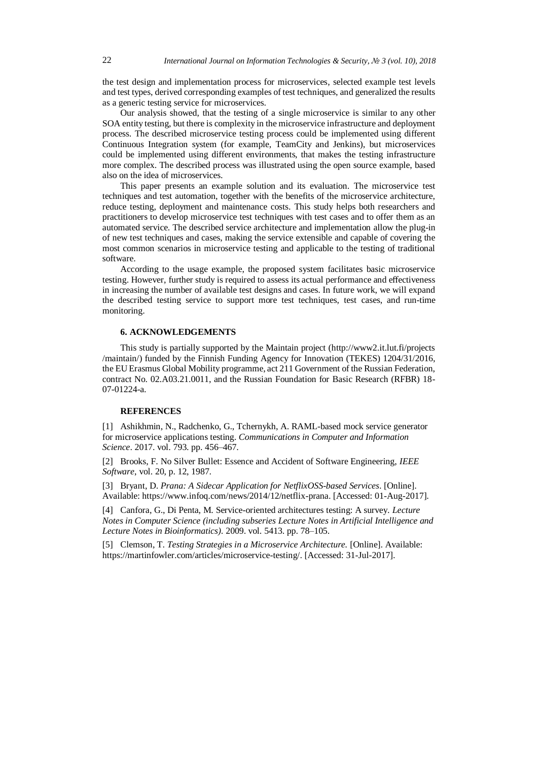the test design and implementation process for microservices, selected example test levels and test types, derived corresponding examples of test techniques, and generalized the results as a generic testing service for microservices.

Our analysis showed, that the testing of a single microservice is similar to any other SOA entity testing, but there is complexity in the microservice infrastructure and deployment process. The described microservice testing process could be implemented using different Continuous Integration system (for example, TeamCity and Jenkins), but microservices could be implemented using different environments, that makes the testing infrastructure more complex. The described process was illustrated using the open source example, based also on the idea of microservices.

This paper presents an example solution and its evaluation. The microservice test techniques and test automation, together with the benefits of the microservice architecture, reduce testing, deployment and maintenance costs. This study helps both researchers and practitioners to develop microservice test techniques with test cases and to offer them as an automated service. The described service architecture and implementation allow the plug-in of new test techniques and cases, making the service extensible and capable of covering the most common scenarios in microservice testing and applicable to the testing of traditional software.

According to the usage example, the proposed system facilitates basic microservice testing. However, further study is required to assess its actual performance and effectiveness in increasing the number of available test designs and cases. In future work, we will expand the described testing service to support more test techniques, test cases, and run-time monitoring.

## **6. ACKNOWLEDGEMENTS**

This study is partially supported by the Maintain project (http://www2.it.lut.fi/projects /maintain/) funded by the Finnish Funding Agency for Innovation (TEKES) 1204/31/2016, the EU Erasmus Global Mobility programme, act 211 Government of the Russian Federation, contract No. 02.A03.21.0011, and the Russian Foundation for Basic Research (RFBR) 18- 07-01224-a.

## **REFERENCES**

[1] Ashikhmin, N., Radchenko, G., Tchernykh, A. RAML-based mock service generator for microservice applications testing. *Communications in Computer and Information Science*. 2017. vol. 793. pp. 456–467.

[2] Brooks, F. No Silver Bullet: Essence and Accident of Software Engineering, *IEEE Software*, vol. 20, p. 12, 1987.

[3] Bryant, D. *Prana: A Sidecar Application for NetflixOSS-based Services*. [Online]. Available: https://www.infoq.com/news/2014/12/netflix-prana. [Accessed: 01-Aug-2017].

[4] Canfora, G., Di Penta, M. Service-oriented architectures testing: A survey. *Lecture Notes in Computer Science (including subseries Lecture Notes in Artificial Intelligence and Lecture Notes in Bioinformatics)*. 2009. vol. 5413. pp. 78–105.

[5] Clemson, T. *Testing Strategies in a Microservice Architecture.* [Online]. Available: https://martinfowler.com/articles/microservice-testing/. [Accessed: 31-Jul-2017].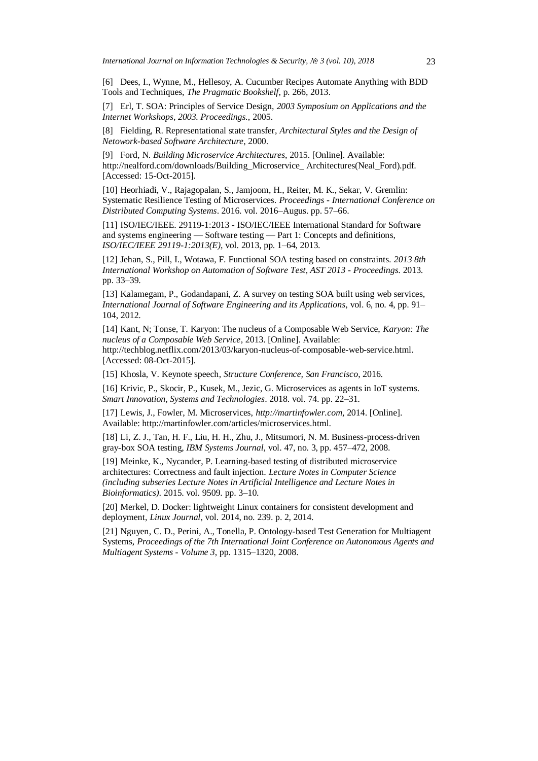[6] Dees, I., Wynne, M., Hellesoy, A. Cucumber Recipes Automate Anything with BDD Tools and Techniques, *The Pragmatic Bookshelf*, p. 266, 2013.

[7] Erl, T. SOA: Principles of Service Design, *2003 Symposium on Applications and the Internet Workshops, 2003. Proceedings.*, 2005.

[8] Fielding, R. Representational state transfer, *Architectural Styles and the Design of Netowork-based Software Architecture*, 2000.

[9] Ford, N. *Building Microservice Architectures*, 2015. [Online]. Available: http://nealford.com/downloads/Building\_Microservice\_Architectures(Neal\_Ford).pdf. [Accessed: 15-Oct-2015].

[10] Heorhiadi, V., Rajagopalan, S., Jamjoom, H., Reiter, M. K., Sekar, V. Gremlin: Systematic Resilience Testing of Microservices. *Proceedings - International Conference on Distributed Computing Systems*. 2016. vol. 2016–Augus. pp. 57–66.

[11] ISO/IEC/IEEE. 29119-1:2013 - ISO/IEC/IEEE International Standard for Software and systems engineering — Software testing — Part 1: Concepts and definitions, *ISO/IEC/IEEE 29119-1:2013(E)*, vol. 2013, pp. 1–64, 2013.

[12] Jehan, S., Pill, I., Wotawa, F. Functional SOA testing based on constraints. *2013 8th International Workshop on Automation of Software Test, AST 2013 - Proceedings*. 2013. pp. 33–39.

[13] Kalamegam, P., Godandapani, Z. A survey on testing SOA built using web services, *International Journal of Software Engineering and its Applications*, vol. 6, no. 4, pp. 91– 104, 2012.

[14] Kant, N; Tonse, T. Karyon: The nucleus of a Composable Web Service, *Karyon: The nucleus of a Composable Web Service*, 2013. [Online]. Available: http://techblog.netflix.com/2013/03/karyon-nucleus-of-composable-web-service.html. [Accessed: 08-Oct-2015].

[15] Khosla, V. Keynote speech, *Structure Conference, San Francisco*, 2016.

[16] Krivic, P., Skocir, P., Kusek, M., Jezic, G. Microservices as agents in IoT systems. *Smart Innovation, Systems and Technologies*. 2018. vol. 74. pp. 22–31.

[17] Lewis, J., Fowler, M. Microservices, *http://martinfowler.com*, 2014. [Online]. Available: http://martinfowler.com/articles/microservices.html.

[18] Li, Z. J., Tan, H. F., Liu, H. H., Zhu, J., Mitsumori, N. M. Business-process-driven gray-box SOA testing, *IBM Systems Journal*, vol. 47, no. 3, pp. 457–472, 2008.

[19] Meinke, K., Nycander, P. Learning-based testing of distributed microservice architectures: Correctness and fault injection. *Lecture Notes in Computer Science (including subseries Lecture Notes in Artificial Intelligence and Lecture Notes in Bioinformatics)*. 2015. vol. 9509. pp. 3–10.

[20] Merkel, D. Docker: lightweight Linux containers for consistent development and deployment, *Linux Journal*, vol. 2014, no. 239. p. 2, 2014.

[21] Nguyen, C. D., Perini, A., Tonella, P. Ontology-based Test Generation for Multiagent Systems, *Proceedings of the 7th International Joint Conference on Autonomous Agents and Multiagent Systems - Volume 3*, pp. 1315–1320, 2008.